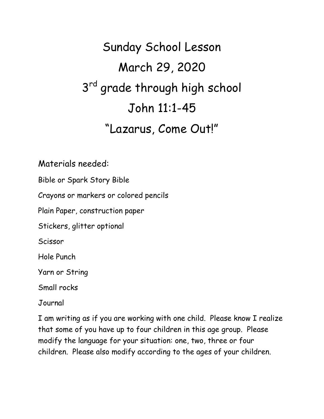## Sunday School Lesson March 29, 2020 3<sup>rd</sup> grade through high school John 11:1-45 "Lazarus, Come Out!"

Materials needed:

Bible or Spark Story Bible

Crayons or markers or colored pencils

Plain Paper, construction paper

Stickers, glitter optional

Scissor

Hole Punch

Yarn or String

Small rocks

Journal

I am writing as if you are working with one child. Please know I realize that some of you have up to four children in this age group. Please modify the language for your situation: one, two, three or four children. Please also modify according to the ages of your children.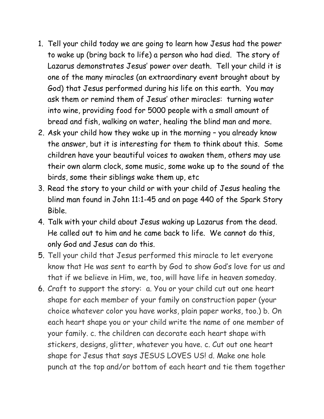- 1. Tell your child today we are going to learn how Jesus had the power to wake up (bring back to life) a person who had died. The story of Lazarus demonstrates Jesus' power over death. Tell your child it is one of the many miracles (an extraordinary event brought about by God) that Jesus performed during his life on this earth. You may ask them or remind them of Jesus' other miracles: turning water into wine, providing food for 5000 people with a small amount of bread and fish, walking on water, healing the blind man and more.
- 2. Ask your child how they wake up in the morning you already know the answer, but it is interesting for them to think about this. Some children have your beautiful voices to awaken them, others may use their own alarm clock, some music, some wake up to the sound of the birds, some their siblings wake them up, etc
- 3. Read the story to your child or with your child of Jesus healing the blind man found in John 11:1-45 and on page 440 of the Spark Story Bible.
- 4. Talk with your child about Jesus waking up Lazarus from the dead. He called out to him and he came back to life. We cannot do this, only God and Jesus can do this.
- 5. Tell your child that Jesus performed this miracle to let everyone know that He was sent to earth by God to show God's love for us and that if we believe in Him, we, too, will have life in heaven someday.
- 6. Craft to support the story: a. You or your child cut out one heart shape for each member of your family on construction paper (your choice whatever color you have works, plain paper works, too.) b. On each heart shape you or your child write the name of one member of your family. c. the children can decorate each heart shape with stickers, designs, glitter, whatever you have. c. Cut out one heart shape for Jesus that says JESUS LOVES US! d. Make one hole punch at the top and/or bottom of each heart and tie them together